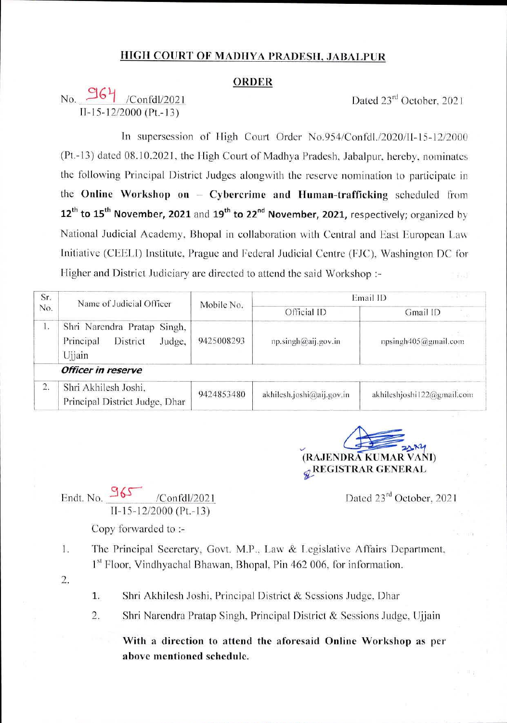## **HIGH COURT OF MADHYA PRADFSIl, JABAl PUK**

## **ORDER**

## No. **36<sup>4</sup>** /Confdl/2021 Dated 23<sup>rd</sup> October. 202 I 11-15-12/2000 (Pt.-13)

In supersession of High Court Order No.954/Confdl./2020/Il-15-12/2000 (Pi.-13) dated 08.10.2021. the High Court of Madhya Pradesh. Jabalpur, hereby, nominates the following Principal District Judges alongwith the reserve nomination to participate in **Cybercrime and Human-trafficking** scheduled from the **Online Workshop on 12<sup>th</sup> to 15<sup>th</sup> November, 2021** and 19<sup>th</sup> to 22<sup>nd</sup> November, 2021, respectively; organized by National Judicial Academy, Bhopal in collaboration with Central and East European Law Initiative (CEELI) Institute, Prague and Federal Judicial Centre (FJC), Washington DC for Higher and District Judiciary are directed to attend the said Workshop :-

| Sr.<br>No.   | Name of Judicial Officer                                                 | Mobile No. | $1.11 - 1.0$<br>Email ID  |                            |
|--------------|--------------------------------------------------------------------------|------------|---------------------------|----------------------------|
|              |                                                                          |            | Official ID               | Gmail ID                   |
| $\mathbf{I}$ | Shri Narendra Pratap Singh,<br>Principal<br>District<br>Judge,<br>Ujjain | 9425008293 | np.singh@aij.gov.in       | npsingh405@gmail.com       |
|              | Officer in reserve                                                       |            |                           |                            |
| 2.           | Shri Akhilesh Joshi,<br>Principal District Judge, Dhar                   | 9424853480 | akhilesh.joshi@aij.gov.in | akhileshjoshi122@gmail.com |

**(RAJENDRA KUMAR YAM) ^ REGISTRAR GENERAL** *&*

 $\sqrt{\text{Confd}l/2021}$  Dated 23<sup>rd</sup> October, 2021

Endt. No. 965 11-15-12/2000 (Pt.-13)

Copy forwarded to :-

- The Principal Secretary, Govt. M.P.. Law & Legislative Affairs Department. 1<sup>st</sup> Floor, Vindhyachal Bhawan, Bhopal, Pin 462 006, for information. 1.
- 2.
- Shri Akhilesh Joshi. Principal District & Sessions Judge. Dhar 1.
- Shri Narendra Pratap Singh. Principal District & Sessions Judge. Ujjain 2.

**With a direction to attend the aforesaid Online Workshop as per above mentioned schedule.**